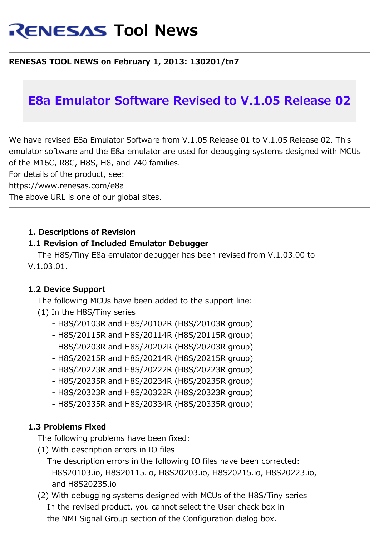# **RENESAS Tool News**

## **RENESAS TOOL NEWS on February 1, 2013: 130201/tn7**

# **E8a Emulator Software Revised to V.1.05 Release 02**

We have revised E8a Emulator Software from V.1.05 Release 01 to V.1.05 Release 02. This emulator software and the E8a emulator are used for debugging systems designed with MCUs of the M16C, R8C, H8S, H8, and 740 families.

For details of the product, see:

https://www.renesas.com/e8a

The above URL is one of our global sites.

#### **1. Descriptions of Revision**

#### **1.1 Revision of Included Emulator Debugger**

 The H8S/Tiny E8a emulator debugger has been revised from V.1.03.00 to V.1.03.01.

#### **1.2 Device Support**

 The following MCUs have been added to the support line: (1) In the H8S/Tiny series

- H8S/20103R and H8S/20102R (H8S/20103R group)
- H8S/20115R and H8S/20114R (H8S/20115R group)
- H8S/20203R and H8S/20202R (H8S/20203R group)
- H8S/20215R and H8S/20214R (H8S/20215R group)
- H8S/20223R and H8S/20222R (H8S/20223R group)
- H8S/20235R and H8S/20234R (H8S/20235R group)
- H8S/20323R and H8S/20322R (H8S/20323R group)
- H8S/20335R and H8S/20334R (H8S/20335R group)

#### **1.3 Problems Fixed**

The following problems have been fixed:

- (1) With description errors in IO files
	- The description errors in the following IO files have been corrected: H8S20103.io, H8S20115.io, H8S20203.io, H8S20215.io, H8S20223.io, and H8S20235.io
- (2) With debugging systems designed with MCUs of the H8S/Tiny series In the revised product, you cannot select the User check box in the NMI Signal Group section of the Configuration dialog box.